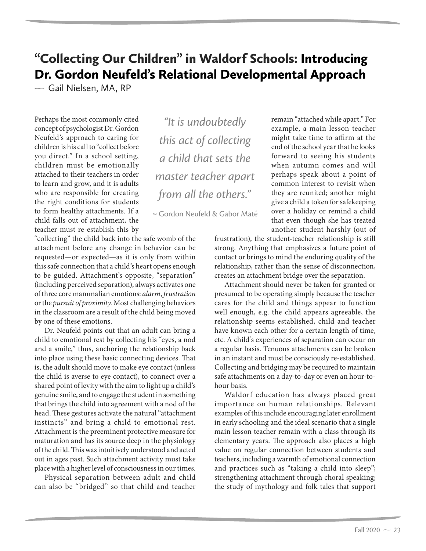# "Collecting Our Children" in Waldorf Schools: Introducing Dr. Gordon Neufeld's Relational Developmental Approach

 $\sim$  Gail Nielsen, MA, RP

Perhaps the most commonly cited concept of psychologist Dr. Gordon Neufeld's approach to caring for children is his call to "collect before you direct." In a school setting, children must be emotionally attached to their teachers in order to learn and grow, and it is adults who are responsible for creating the right conditions for students to form healthy attachments. If a child falls out of attachment, the teacher must re-establish this by

*"It is undoubtedly this act of collecting a child that sets the master teacher apart from all the others."* 

~ Gordon Neufeld & Gabor Maté

"collecting" the child back into the safe womb of the attachment before any change in behavior can be requested—or expected—as it is only from within this safe connection that a child's heart opens enough to be guided. Attachment's opposite, "separation" (including perceived separation), always activates one of three core mammalian emotions: *alarm*, *frustration* or the *pursuit of proximity.* Most challenging behaviors in the classroom are a result of the child being moved by one of these emotions.

Dr. Neufeld points out that an adult can bring a child to emotional rest by collecting his "eyes, a nod and a smile," thus, anchoring the relationship back into place using these basic connecting devices. That is, the adult should move to make eye contact (unless the child is averse to eye contact), to connect over a shared point of levity with the aim to light up a child's genuine smile, and to engage the student in something that brings the child into agreement with a nod of the head. These gestures activate the natural "attachment instincts" and bring a child to emotional rest. Attachment is the preeminent protective measure for maturation and has its source deep in the physiology of the child. This was intuitively understood and acted out in ages past. Such attachment activity must take place with a higher level of consciousness in our times.

Physical separation between adult and child can also be "bridged" so that child and teacher remain "attached while apart." For example, a main lesson teacher might take time to affirm at the end of the school year that he looks forward to seeing his students when autumn comes and will perhaps speak about a point of common interest to revisit when they are reunited; another might give a child a token for safekeeping over a holiday or remind a child that even though she has treated another student harshly (out of

frustration), the student-teacher relationship is still strong. Anything that emphasizes a future point of contact or brings to mind the enduring quality of the relationship, rather than the sense of disconnection, creates an attachment bridge over the separation.

Attachment should never be taken for granted or presumed to be operating simply because the teacher cares for the child and things appear to function well enough, e.g. the child appears agreeable, the relationship seems established, child and teacher have known each other for a certain length of time, etc. A child's experiences of separation can occur on a regular basis. Tenuous attachments can be broken in an instant and must be consciously re-established. Collecting and bridging may be required to maintain safe attachments on a day-to-day or even an hour-tohour basis.

Waldorf education has always placed great importance on human relationships. Relevant examples of this include encouraging later enrollment in early schooling and the ideal scenario that a single main lesson teacher remain with a class through its elementary years. The approach also places a high value on regular connection between students and teachers, including a warmth of emotional connection and practices such as "taking a child into sleep"; strengthening attachment through choral speaking; the study of mythology and folk tales that support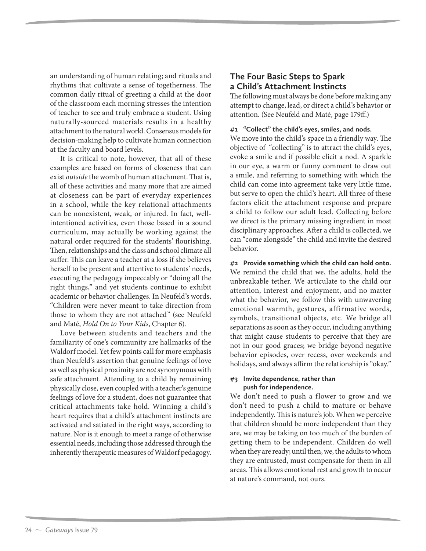an understanding of human relating; and rituals and rhythms that cultivate a sense of togetherness. The common daily ritual of greeting a child at the door of the classroom each morning stresses the intention of teacher to see and truly embrace a student. Using naturally-sourced materials results in a healthy attachment to the natural world. Consensus models for decision-making help to cultivate human connection at the faculty and board levels.

It is critical to note, however, that all of these examples are based on forms of closeness that can exist *outside* the womb of human attachment. That is, all of these activities and many more that are aimed at closeness can be part of everyday experiences in a school, while the key relational attachments can be nonexistent, weak, or injured. In fact, wellintentioned activities, even those based in a sound curriculum, may actually be working against the natural order required for the students' flourishing. Then, relationships and the class and school climate all suffer. This can leave a teacher at a loss if she believes herself to be present and attentive to students' needs, executing the pedagogy impeccably or "doing all the right things," and yet students continue to exhibit academic or behavior challenges. In Neufeld's words, "Children were never meant to take direction from those to whom they are not attached" (see Neufeld and Maté, *Hold On to Your Kids*, Chapter 6).

Love between students and teachers and the familiarity of one's community are hallmarks of the Waldorf model. Yet few points call for more emphasis than Neufeld's assertion that genuine feelings of love as well as physical proximity are *not* synonymous with safe attachment. Attending to a child by remaining physically close, even coupled with a teacher's genuine feelings of love for a student, does not guarantee that critical attachments take hold. Winning a child's heart requires that a child's attachment instincts are activated and satiated in the right ways, according to nature. Nor is it enough to meet a range of otherwise essential needs, including those addressed through the inherently therapeutic measures of Waldorf pedagogy.

### **The Four Basic Steps to Spark a Child's Attachment Instincts**

The following must always be done before making any attempt to change, lead, or direct a child's behavior or attention. (See Neufeld and Maté, page 179ff.)

#### **#1 "Collect" the child's eyes, smiles, and nods.**

We move into the child's space in a friendly way. The objective of "collecting" is to attract the child's eyes, evoke a smile and if possible elicit a nod. A sparkle in our eye, a warm or funny comment to draw out a smile, and referring to something with which the child can come into agreement take very little time, but serve to open the child's heart. All three of these factors elicit the attachment response and prepare a child to follow our adult lead. Collecting before we direct is the primary missing ingredient in most disciplinary approaches. After a child is collected, we can "come alongside" the child and invite the desired behavior.

**#2 Provide something which the child can hold onto.** We remind the child that we, the adults, hold the unbreakable tether. We articulate to the child our attention, interest and enjoyment, and no matter what the behavior, we follow this with unwavering emotional warmth, gestures, affirmative words, symbols, transitional objects, etc. We bridge all separations as soon as they occur, including anything that might cause students to perceive that they are not in our good graces; we bridge beyond negative behavior episodes, over recess, over weekends and holidays, and always affirm the relationship is "okay."

#### **#3 Invite dependence, rather than push for independence.**

We don't need to push a flower to grow and we don't need to push a child to mature or behave independently. This is nature's job. When we perceive that children should be more independent than they are, we may be taking on too much of the burden of getting them to be independent. Children do well when they are ready; until then, we, the adults to whom they are entrusted, must compensate for them in all areas. This allows emotional rest and growth to occur at nature's command, not ours.